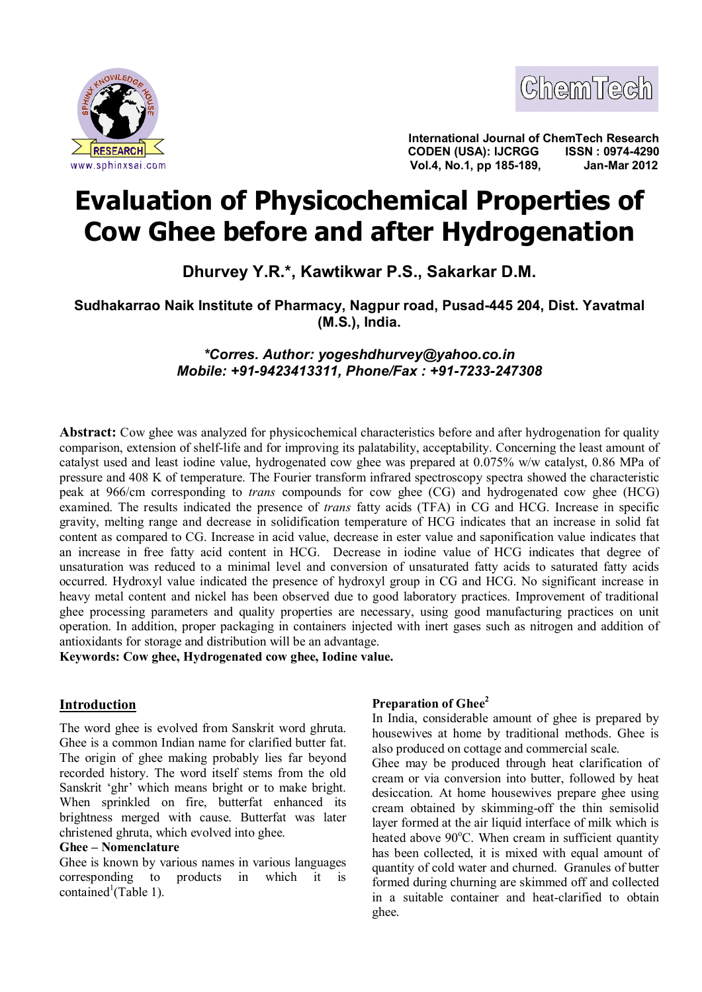



**International Journal of ChemTech Research CODEN (USA): IJCRGG ISSN : 0974-4290 Vol.4, No.1, pp 185-189, Jan-Mar 2012**

# **Evaluation of Physicochemical Properties of Cow Ghee before and after Hydrogenation**

**Dhurvey Y.R.\*, Kawtikwar P.S., Sakarkar D.M.**

**Sudhakarrao Naik Institute of Pharmacy, Nagpur road, Pusad-445 204, Dist. Yavatmal (M.S.), India.**

> *\*Corres. Author: [yogeshdhurvey@yahoo.co.in](mailto:yogeshdhurvey@yahoo.co.in) Mobile: +91-9423413311, Phone/Fax : +91-7233-247308*

**Abstract:** Cow ghee was analyzed for physicochemical characteristics before and after hydrogenation for quality comparison, extension of shelf-life and for improving its palatability, acceptability. Concerning the least amount of catalyst used and least iodine value, hydrogenated cow ghee was prepared at 0.075% w/w catalyst, 0.86 MPa of pressure and 408 K of temperature. The Fourier transform infrared spectroscopy spectra showed the characteristic peak at 966/cm corresponding to *trans* compounds for cow ghee (CG) and hydrogenated cow ghee (HCG) examined. The results indicated the presence of *trans* fatty acids (TFA) in CG and HCG. Increase in specific gravity, melting range and decrease in solidification temperature of HCG indicates that an increase in solid fat content as compared to CG. Increase in acid value, decrease in ester value and saponification value indicates that an increase in free fatty acid content in HCG. Decrease in iodine value of HCG indicates that degree of unsaturation was reduced to a minimal level and conversion of unsaturated fatty acids to saturated fatty acids occurred. Hydroxyl value indicated the presence of hydroxyl group in CG and HCG. No significant increase in heavy metal content and nickel has been observed due to good laboratory practices. Improvement of traditional ghee processing parameters and quality properties are necessary, using good manufacturing practices on unit operation. In addition, proper packaging in containers injected with inert gases such as nitrogen and addition of antioxidants for storage and distribution will be an advantage.

**Keywords: Cow ghee, Hydrogenated cow ghee, Iodine value.**

## **Introduction**

The word ghee is evolved from Sanskrit word ghruta. Ghee is a common Indian name for clarified butter fat. The origin of ghee making probably lies far beyond recorded history. The word itself stems from the old Sanskrit 'ghr' which means bright or to make bright. When sprinkled on fire, butterfat enhanced its brightness merged with cause. Butterfat was later christened ghruta, which evolved into ghee.

## **Ghee – Nomenclature**

Ghee is known by various names in various languages corresponding to products in which it is contained<sup>1</sup>(Table 1).

## **Preparation of Ghee<sup>2</sup>**

In India, considerable amount of ghee is prepared by housewives at home by traditional methods. Ghee is also produced on cottage and commercial scale.

Ghee may be produced through heat clarification of cream or via conversion into butter, followed by heat desiccation. At home housewives prepare ghee using cream obtained by skimming-off the thin semisolid layer formed at the air liquid interface of milk which is heated above  $90^{\circ}$ C. When cream in sufficient quantity has been collected, it is mixed with equal amount of quantity of cold water and churned. Granules of butter formed during churning are skimmed off and collected in a suitable container and heat-clarified to obtain ghee.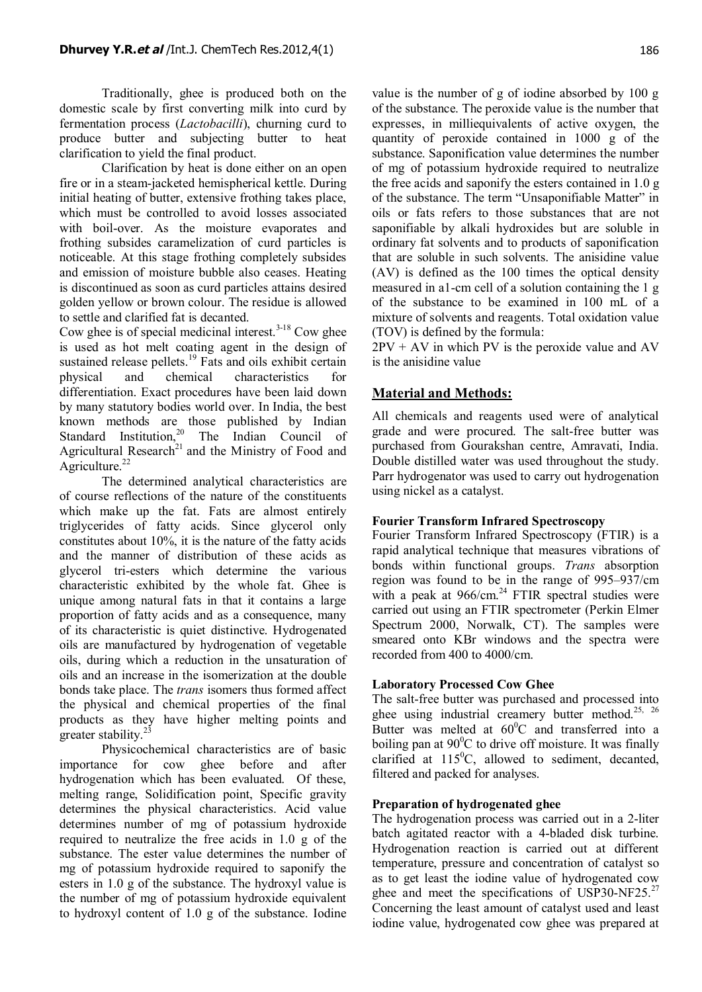Traditionally, ghee is produced both on the domestic scale by first converting milk into curd by fermentation process (*Lactobacilli*), churning curd to produce butter and subjecting butter to heat clarification to yield the final product.

Clarification by heat is done either on an open fire or in a steam-jacketed hemispherical kettle. During initial heating of butter, extensive frothing takes place, which must be controlled to avoid losses associated with boil-over. As the moisture evaporates and frothing subsides caramelization of curd particles is noticeable. At this stage frothing completely subsides and emission of moisture bubble also ceases. Heating is discontinued as soon as curd particles attains desired golden yellow or brown colour. The residue is allowed to settle and clarified fat is decanted.

Cow ghee is of special medicinal interest.<sup> $3-18$ </sup> Cow ghee is used as hot melt coating agent in the design of sustained release pellets.<sup>19</sup> Fats and oils exhibit certain physical and chemical characteristics for differentiation. Exact procedures have been laid down by many statutory bodies world over. In India, the best known methods are those published by Indian Standard Institution,<sup>20</sup> The Indian Council of Agricultural Research<sup>21</sup> and the Ministry of Food and Agriculture. $^{22}$ 

The determined analytical characteristics are of course reflections of the nature of the constituents which make up the fat. Fats are almost entirely triglycerides of fatty acids. Since glycerol only constitutes about 10%, it is the nature of the fatty acids and the manner of distribution of these acids as glycerol tri-esters which determine the various characteristic exhibited by the whole fat. Ghee is unique among natural fats in that it contains a large proportion of fatty acids and as a consequence, many of its characteristic is quiet distinctive. Hydrogenated oils are manufactured by hydrogenation of vegetable oils, during which a reduction in the unsaturation of oils and an increase in the isomerization at the double bonds take place. The *trans* isomers thus formed affect the physical and chemical properties of the final products as they have higher melting points and greater stability.<sup>23</sup>

Physicochemical characteristics are of basic importance for cow ghee before and after hydrogenation which has been evaluated. Of these, melting range, Solidification point, Specific gravity determines the physical characteristics. Acid value determines number of mg of potassium hydroxide required to neutralize the free acids in 1.0 g of the substance. The ester value determines the number of mg of potassium hydroxide required to saponify the esters in 1.0 g of the substance. The hydroxyl value is the number of mg of potassium hydroxide equivalent to hydroxyl content of 1.0 g of the substance. Iodine

value is the number of g of iodine absorbed by 100 g of the substance. The peroxide value is the number that expresses, in milliequivalents of active oxygen, the quantity of peroxide contained in 1000 g of the substance. Saponification value determines the number of mg of potassium hydroxide required to neutralize the free acids and saponify the esters contained in 1.0 g of the substance. The term "Unsaponifiable Matter" in oils or fats refers to those substances that are not saponifiable by alkali hydroxides but are soluble in ordinary fat solvents and to products of saponification that are soluble in such solvents. The anisidine value (AV) is defined as the 100 times the optical density measured in a1-cm cell of a solution containing the 1 g of the substance to be examined in 100 mL of a mixture of solvents and reagents. Total oxidation value (TOV) is defined by the formula:

 $2PV + AV$  in which PV is the peroxide value and AV is the anisidine value

## **Material and Methods:**

All chemicals and reagents used were of analytical grade and were procured. The salt-free butter was purchased from Gourakshan centre, Amravati, India. Double distilled water was used throughout the study. Parr hydrogenator was used to carry out hydrogenation using nickel as a catalyst.

### **Fourier Transform Infrared Spectroscopy**

Fourier Transform Infrared Spectroscopy (FTIR) is a rapid analytical technique that measures vibrations of bonds within functional groups. *Trans* absorption region was found to be in the range of 995–937/cm with a peak at  $966/cm.^{24}$  FTIR spectral studies were carried out using an FTIR spectrometer (Perkin Elmer Spectrum 2000, Norwalk, CT). The samples were smeared onto KBr windows and the spectra were recorded from 400 to 4000/cm.

### **Laboratory Processed Cow Ghee**

The salt-free butter was purchased and processed into ghee using industrial creamery butter method.<sup>25, 26</sup> Butter was melted at  $60^{\circ}$ C and transferred into a boiling pan at  $90^{\circ}$ C to drive off moisture. It was finally clarified at  $115^{\circ}$ C, allowed to sediment, decanted, filtered and packed for analyses.

#### **Preparation of hydrogenated ghee**

The hydrogenation process was carried out in a 2-liter batch agitated reactor with a 4-bladed disk turbine. Hydrogenation reaction is carried out at different temperature, pressure and concentration of catalyst so as to get least the iodine value of hydrogenated cow ghee and meet the specifications of USP30-NF25. $^{27}$ Concerning the least amount of catalyst used and least iodine value, hydrogenated cow ghee was prepared at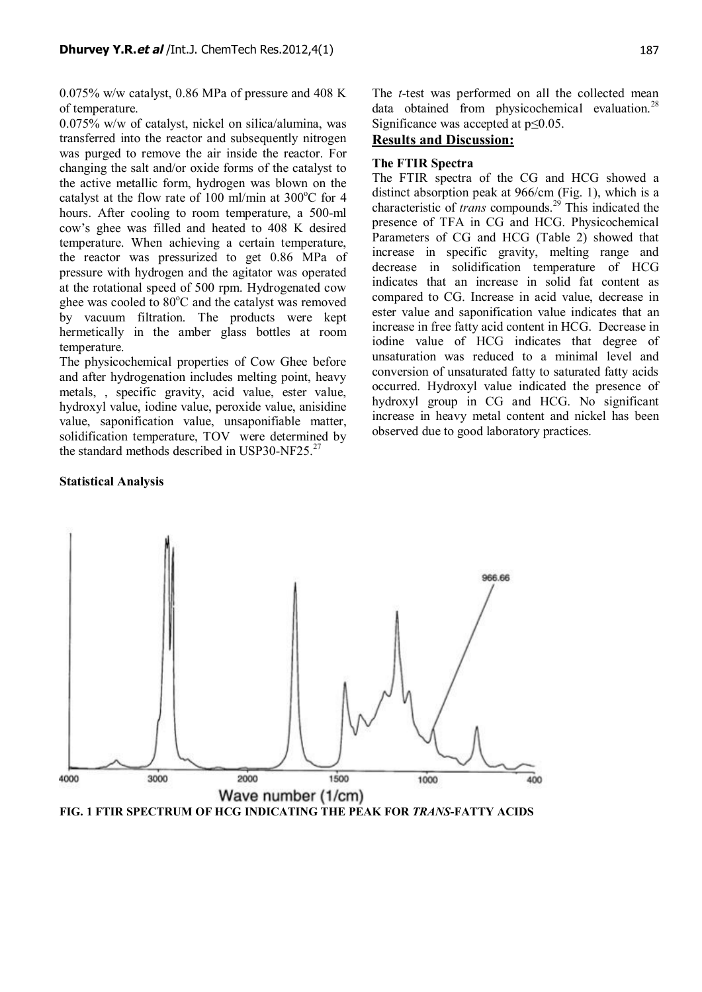0.075% w/w catalyst, 0.86 MPa of pressure and 408 K of temperature.

0.075% w/w of catalyst, nickel on silica/alumina, was transferred into the reactor and subsequently nitrogen was purged to remove the air inside the reactor. For changing the salt and/or oxide forms of the catalyst to the active metallic form, hydrogen was blown on the catalyst at the flow rate of 100 ml/min at  $300^{\circ}$ C for 4 hours. After cooling to room temperature, a 500-ml cow's ghee was filled and heated to 408 K desired temperature. When achieving a certain temperature, the reactor was pressurized to get 0.86 MPa of pressure with hydrogen and the agitator was operated at the rotational speed of 500 rpm. Hydrogenated cow ghee was cooled to  $80^{\circ}$ C and the catalyst was removed by vacuum filtration. The products were kept hermetically in the amber glass bottles at room temperature.

The physicochemical properties of Cow Ghee before and after hydrogenation includes melting point, heavy metals, , specific gravity, acid value, ester value, hydroxyl value, iodine value, peroxide value, anisidine value, saponification value, unsaponifiable matter, solidification temperature, TOV were determined by the standard methods described in USP30-NF25.<sup>27</sup>

#### **Statistical Analysis**

The *t*-test was performed on all the collected mean data obtained from physicochemical evaluation.<sup>28</sup> Significance was accepted at  $p \leq 0.05$ .

## **Results and Discussion:**

### **The FTIR Spectra**

The FTIR spectra of the CG and HCG showed a distinct absorption peak at 966/cm (Fig. 1), which is a characteristic of *trans* compounds.<sup>29</sup> This indicated the presence of TFA in CG and HCG. Physicochemical Parameters of CG and HCG (Table 2) showed that increase in specific gravity, melting range and decrease in solidification temperature of HCG indicates that an increase in solid fat content as compared to CG. Increase in acid value, decrease in ester value and saponification value indicates that an increase in free fatty acid content in HCG. Decrease in iodine value of HCG indicates that degree of unsaturation was reduced to a minimal level and conversion of unsaturated fatty to saturated fatty acids occurred. Hydroxyl value indicated the presence of hydroxyl group in CG and HCG. No significant increase in heavy metal content and nickel has been observed due to good laboratory practices.



**FIG. 1 FTIR SPECTRUM OF HCG INDICATING THE PEAK FOR** *TRANS***-FATTY ACIDS**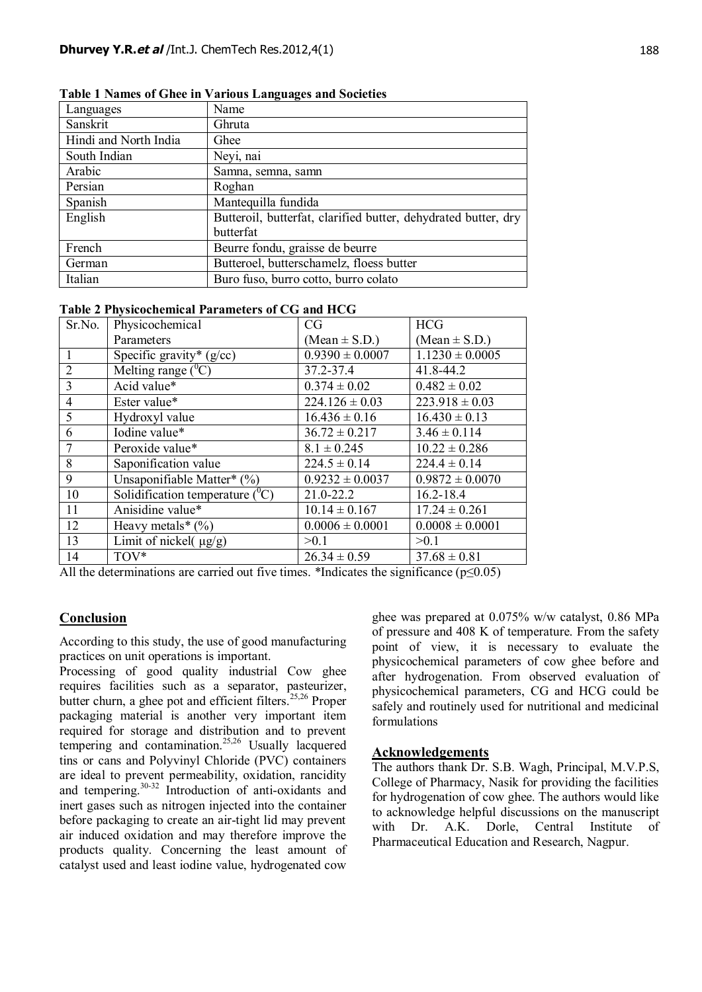| Languages             | Name                                                           |  |
|-----------------------|----------------------------------------------------------------|--|
| Sanskrit              | Ghruta                                                         |  |
| Hindi and North India | Ghee                                                           |  |
| South Indian          | Neyi, nai                                                      |  |
| Arabic                | Samna, semna, samn                                             |  |
| Persian               | Roghan                                                         |  |
| Spanish               | Mantequilla fundida                                            |  |
| English               | Butteroil, butterfat, clarified butter, dehydrated butter, dry |  |
|                       | butterfat                                                      |  |
| French                | Beurre fondu, graisse de beurre                                |  |
| German                | Butteroel, butterschamelz, floess butter                       |  |
| Italian               | Buro fuso, burro cotto, burro colato                           |  |

**Table 1 Names of Ghee in Various Languages and Societies**

#### **Table 2 Physicochemical Parameters of CG and HCG**

| Sr.No.         | Physicochemical                        | CG                  | <b>HCG</b>          |
|----------------|----------------------------------------|---------------------|---------------------|
|                | Parameters                             | $(Mean \pm S.D.)$   | $(Mean \pm S.D.)$   |
|                | Specific gravity* $(g/cc)$             | $0.9390 \pm 0.0007$ | $1.1230 \pm 0.0005$ |
| $\overline{2}$ | Melting range $(^0C)$                  | 37.2-37.4           | 41.8-44.2           |
| $\overline{3}$ | Acid value*                            | $0.374 \pm 0.02$    | $0.482 \pm 0.02$    |
| $\overline{4}$ | Ester value*                           | $224.126 \pm 0.03$  | $223.918 \pm 0.03$  |
| 5              | Hydroxyl value                         | $16.436 \pm 0.16$   | $16.430 \pm 0.13$   |
| 6              | Iodine value*                          | $36.72 \pm 0.217$   | $3.46 \pm 0.114$    |
| 7              | Peroxide value*                        | $8.1 \pm 0.245$     | $10.22 \pm 0.286$   |
| 8              | Saponification value                   | $224.5 \pm 0.14$    | $224.4 \pm 0.14$    |
| 9              | Unsaponifiable Matter* $(\%)$          | $0.9232 \pm 0.0037$ | $0.9872 \pm 0.0070$ |
| 10             | Solidification temperature $({}^{0}C)$ | 21.0-22.2           | $16.2 - 18.4$       |
| 11             | Anisidine value*                       | $10.14 \pm 0.167$   | $17.24 \pm 0.261$   |
| 12             | Heavy metals* $(\%)$                   | $0.0006 \pm 0.0001$ | $0.0008 \pm 0.0001$ |
| 13             | Limit of nickel $(\mu g/g)$            | >0.1                | >0.1                |
| 14             | TOV*                                   | $26.34 \pm 0.59$    | $37.68 \pm 0.81$    |

All the determinations are carried out five times. \*Indicates the significance ( $p \le 0.05$ )

### **Conclusion**

According to this study, the use of good manufacturing practices on unit operations is important.

Processing of good quality industrial Cow ghee requires facilities such as a separator, pasteurizer, butter churn, a ghee pot and efficient filters.<sup>25,26</sup> Proper packaging material is another very important item required for storage and distribution and to prevent tempering and contamination.<sup>25,26</sup> Usually lacquered tins or cans and Polyvinyl Chloride (PVC) containers are ideal to prevent permeability, oxidation, rancidity and tempering.30-32 Introduction of anti-oxidants and inert gases such as nitrogen injected into the container before packaging to create an air-tight lid may prevent air induced oxidation and may therefore improve the products quality. Concerning the least amount of catalyst used and least iodine value, hydrogenated cow

ghee was prepared at 0.075% w/w catalyst, 0.86 MPa of pressure and 408 K of temperature. From the safety point of view, it is necessary to evaluate the physicochemical parameters of cow ghee before and after hydrogenation. From observed evaluation of physicochemical parameters, CG and HCG could be safely and routinely used for nutritional and medicinal formulations

#### **Acknowledgements**

The authors thank Dr. S.B. Wagh, Principal, M.V.P.S, College of Pharmacy, Nasik for providing the facilities for hydrogenation of cow ghee. The authors would like to acknowledge helpful discussions on the manuscript with Dr. A.K. Dorle, Central Institute of Pharmaceutical Education and Research, Nagpur.